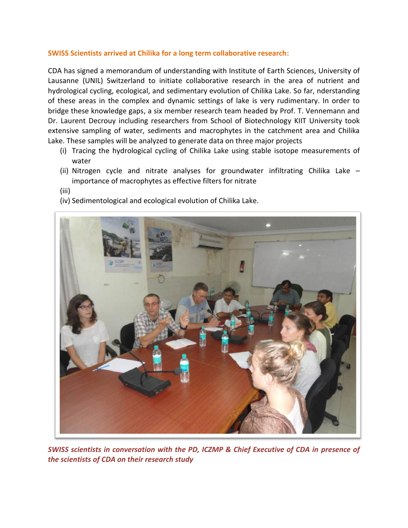## **SWISS Scientists arrived at Chilika for a long term collaborative research:**

CDA has signed a memorandum of understanding with Institute of Earth Sciences, University of Lausanne (UNIL) Switzerland to initiate collaborative research in the area of nutrient and hydrological cycling, ecological, and sedimentary evolution of Chilika Lake. So far, nderstanding of these areas in the complex and dynamic settings of lake is very rudimentary. In order to bridge these knowledge gaps, a six member research team headed by Prof. T. Vennemann and Dr. Laurent Decrouy including researchers from School of Biotechnology KIIT University took extensive sampling of water, sediments and macrophytes in the catchment area and Chilika Lake. These samples will be analyzed to generate data on three major projects

- (i) Tracing the hydrological cycling of Chilika Lake using stable isotope measurements of water
- (ii) Nitrogen cycle and nitrate analyses for groundwater infiltrating Chilika Lake importance of macrophytes as effective filters for nitrate
- (iii)
- (iv) Sedimentological and ecological evolution of Chilika Lake.



*SWISS scientists in conversation with the PD, ICZMP & Chief Executive of CDA in presence of the scientists of CDA on their research study*